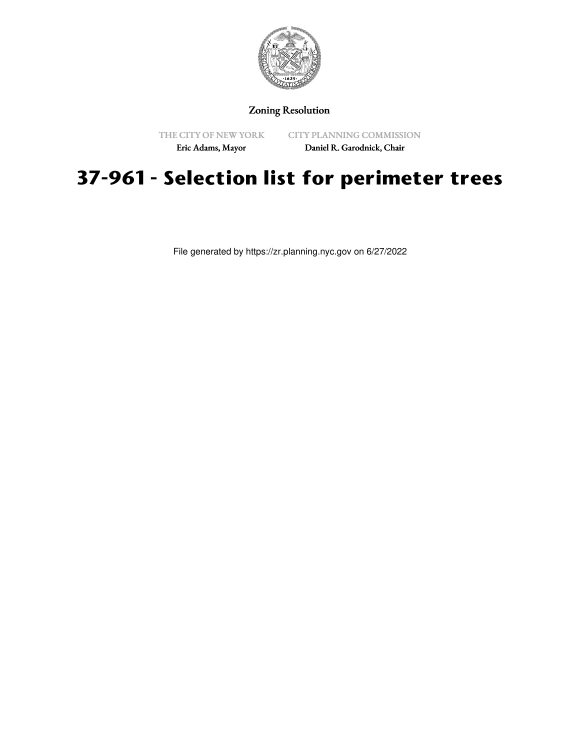

## Zoning Resolution

THE CITY OF NEW YORK

CITY PLANNING COMMISSION

Eric Adams, Mayor

Daniel R. Garodnick, Chair

## **37-961 - Selection list for perimeter trees**

File generated by https://zr.planning.nyc.gov on 6/27/2022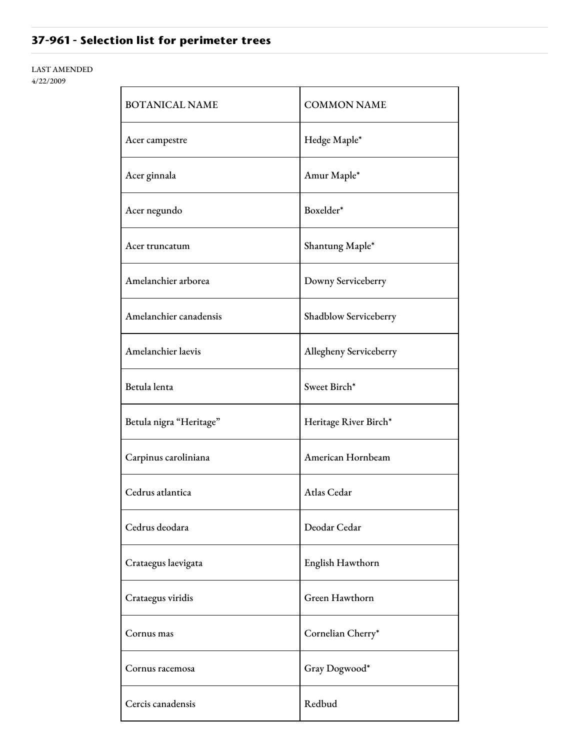## **37-961 - Selection list for perimeter trees**

LAST AMENDED 4/22/2009

| <b>BOTANICAL NAME</b>   | <b>COMMON NAME</b>     |
|-------------------------|------------------------|
| Acer campestre          | Hedge Maple*           |
| Acer ginnala            | Amur Maple*            |
| Acer negundo            | Boxelder*              |
| Acer truncatum          | Shantung Maple*        |
| Amelanchier arborea     | Downy Serviceberry     |
| Amelanchier canadensis  | Shadblow Serviceberry  |
| Amelanchier laevis      | Allegheny Serviceberry |
| Betula lenta            | Sweet Birch*           |
| Betula nigra "Heritage" | Heritage River Birch*  |
| Carpinus caroliniana    | American Hornbeam      |
| Cedrus atlantica        | Atlas Cedar            |
| Cedrus deodara          | Deodar Cedar           |
| Crataegus laevigata     | English Hawthorn       |
| Crataegus viridis       | Green Hawthorn         |
| Cornus mas              | Cornelian Cherry*      |
| Cornus racemosa         | Gray Dogwood*          |
| Cercis canadensis       | Redbud                 |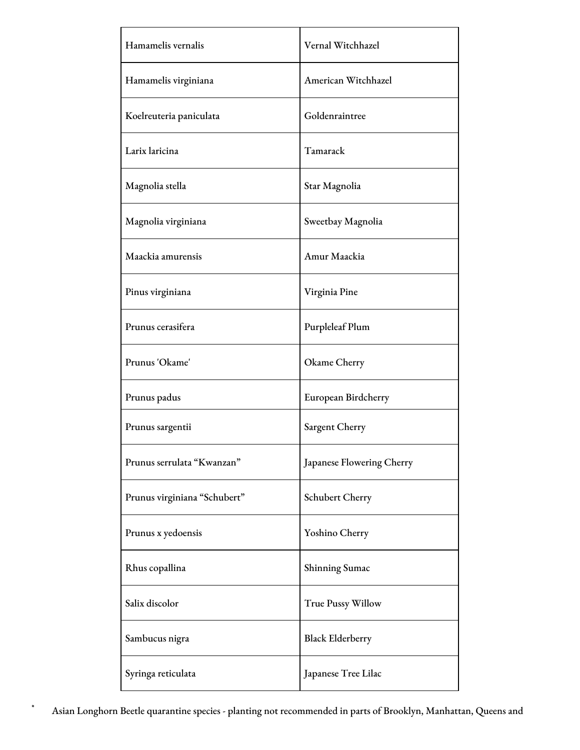| Hamamelis vernalis           | Vernal Witchhazel         |
|------------------------------|---------------------------|
| Hamamelis virginiana         | American Witchhazel       |
| Koelreuteria paniculata      | Goldenraintree            |
| Larix laricina               | Tamarack                  |
| Magnolia stella              | Star Magnolia             |
| Magnolia virginiana          | Sweetbay Magnolia         |
| Maackia amurensis            | Amur Maackia              |
| Pinus virginiana             | Virginia Pine             |
| Prunus cerasifera            | Purpleleaf Plum           |
| Prunus 'Okame'               | Okame Cherry              |
| Prunus padus                 | European Birdcherry       |
| Prunus sargentii             | Sargent Cherry            |
| Prunus serrulata "Kwanzan"   | Japanese Flowering Cherry |
| Prunus virginiana "Schubert" | Schubert Cherry           |
| Prunus x yedoensis           | Yoshino Cherry            |
| Rhus copallina               | Shinning Sumac            |
| Salix discolor               | <b>True Pussy Willow</b>  |
| Sambucus nigra               | <b>Black Elderberry</b>   |
| Syringa reticulata           | Japanese Tree Lilac       |